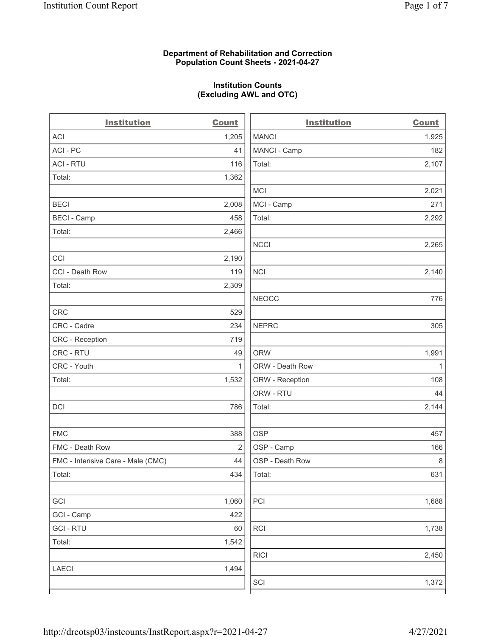#### Department of Rehabilitation and Correction Population Count Sheets - 2021-04-27

### Institution Counts (Excluding AWL and OTC)

 $\overline{a}$ 

| <b>Institution</b>                | <b>Count</b>   | <b>Institution</b> | <b>Count</b> |
|-----------------------------------|----------------|--------------------|--------------|
| ACI                               | 1,205          | <b>MANCI</b>       | 1,925        |
| ACI - PC                          | 41             | MANCI - Camp       | 182          |
| <b>ACI - RTU</b>                  | 116            | Total:             | 2,107        |
| Total:                            | 1,362          |                    |              |
|                                   |                | <b>MCI</b>         | 2,021        |
| <b>BECI</b>                       | 2,008          | MCI - Camp         | 271          |
| <b>BECI - Camp</b>                | 458            | Total:             | 2,292        |
| Total:                            | 2,466          |                    |              |
|                                   |                | <b>NCCI</b>        | 2,265        |
| CCI                               | 2,190          |                    |              |
| CCI - Death Row                   | 119            | <b>NCI</b>         | 2,140        |
| Total:                            | 2,309          |                    |              |
|                                   |                | <b>NEOCC</b>       | 776          |
| <b>CRC</b>                        | 529            |                    |              |
| CRC - Cadre                       | 234            | <b>NEPRC</b>       | 305          |
| CRC - Reception                   | 719            |                    |              |
| CRC - RTU                         | 49             | <b>ORW</b>         | 1,991        |
| CRC - Youth                       | $\mathbf{1}$   | ORW - Death Row    | $\mathbf{1}$ |
| Total:                            | 1,532          | ORW - Reception    | 108          |
|                                   |                | ORW - RTU          | 44           |
| DCI                               | 786            | Total:             | 2,144        |
| <b>FMC</b>                        | 388            | <b>OSP</b>         | 457          |
| FMC - Death Row                   | $\overline{2}$ | OSP - Camp         | 166          |
| FMC - Intensive Care - Male (CMC) | 44             | OSP - Death Row    | $\,8\,$      |
| Total:                            | 434            | Total:             | 631          |
| GCI                               | 1,060          | PCI                | 1,688        |
| GCI - Camp                        | 422            |                    |              |
| <b>GCI-RTU</b>                    | 60             | RCI                | 1,738        |
| Total:                            | 1,542          |                    |              |
|                                   |                | <b>RICI</b>        | 2,450        |
| <b>LAECI</b>                      | 1,494          |                    |              |
|                                   |                | SCI                | 1,372        |
|                                   |                |                    |              |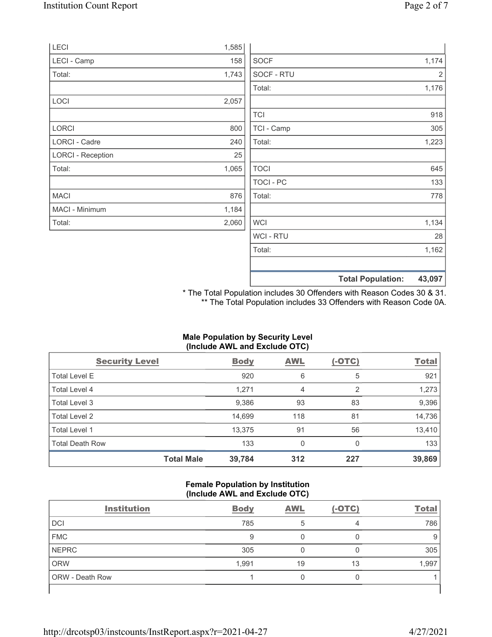| <b>WCI-RTU</b><br>28<br>1,162<br>Total: |
|-----------------------------------------|
|                                         |
|                                         |
|                                         |
| 2,060<br><b>WCI</b><br>1,134            |
| 1,184                                   |
| 876<br>Total:<br>778                    |
| TOCI - PC<br>133                        |
| 1,065<br><b>TOCI</b><br>645             |
| 25                                      |
| Total:<br>1,223<br>240                  |
| TCI - Camp<br>800<br>305                |
| <b>TCI</b><br>918                       |
| 2,057                                   |
| 1,176<br>Total:                         |
| SOCF - RTU<br>1,743<br>2                |
| <b>SOCF</b><br>1,174<br>158             |
| 1,585                                   |
|                                         |

\* The Total Population includes 30 Offenders with Reason Codes 30 & 31. \*\* The Total Population includes 33 Offenders with Reason Code 0A.

## Male Population by Security Level (Include AWL and Exclude OTC)

| <b>Security Level</b>  |                   | <b>Body</b> | <b>AWL</b> | $(-OTC)$ | <b>Total</b> |
|------------------------|-------------------|-------------|------------|----------|--------------|
| <b>Total Level E</b>   |                   | 920         | 6          | 5        | 921          |
| Total Level 4          |                   | 1,271       | 4          | 2        | 1,273        |
| Total Level 3          |                   | 9,386       | 93         | 83       | 9,396        |
| Total Level 2          |                   | 14,699      | 118        | 81       | 14,736       |
| Total Level 1          |                   | 13,375      | 91         | 56       | 13,410       |
| <b>Total Death Row</b> |                   | 133         | 0          | 0        | 133          |
|                        | <b>Total Male</b> | 39,784      | 312        | 227      | 39,869       |

#### Female Population by Institution (Include AWL and Exclude OTC)

| <b>Institution</b> | <b>Body</b> | <b>AWL</b> | $(-OTC)$ | <b>Total</b> |
|--------------------|-------------|------------|----------|--------------|
| DCI                | 785         |            |          | 786          |
| <b>FMC</b>         | 9           |            |          |              |
| <b>NEPRC</b>       | 305         |            |          | 305          |
| <b>ORW</b>         | 1,991       | 19         | 13       | 1,997        |
| ORW - Death Row    |             |            | U        |              |
|                    |             |            |          |              |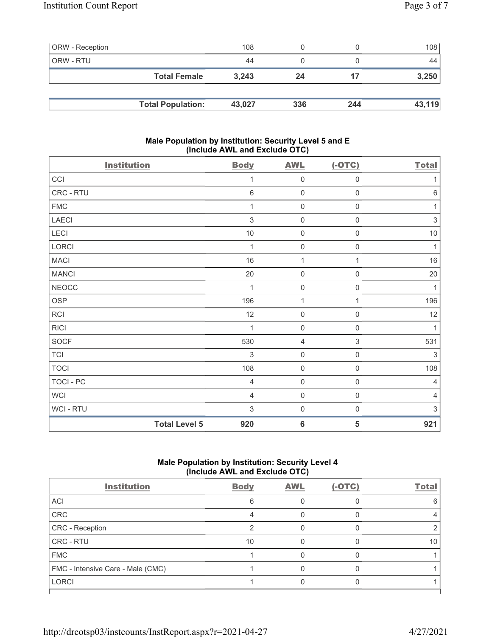| <b>ORW</b> - Reception |                          | 108    |     |     | 108 <sup>1</sup> |
|------------------------|--------------------------|--------|-----|-----|------------------|
| ORW - RTU              |                          | 44     |     |     | 44               |
|                        | <b>Total Female</b>      | 3.243  | 24  |     | 3,250            |
|                        |                          |        |     |     |                  |
|                        | <b>Total Population:</b> | 43.027 | 336 | 244 | 43,119           |

### Male Population by Institution: Security Level 5 and E (Include AWL and Exclude OTC)

| <b>Institution</b>   |                | <b>AWL</b>          | $(-OTC)$            | <b>Total</b>   |
|----------------------|----------------|---------------------|---------------------|----------------|
|                      | <b>Body</b>    |                     |                     |                |
| CCI                  | 1              | $\mathsf{O}\xspace$ | $\mathsf{O}\xspace$ | 1              |
| CRC - RTU            | $6\phantom{1}$ | $\mathbf 0$         | $\boldsymbol{0}$    | $\,6$          |
| ${\sf FMC}$          | 1              | $\mathbf 0$         | $\mathbf 0$         | 1              |
| LAECI                | $\mathfrak{S}$ | $\mathbf 0$         | $\boldsymbol{0}$    | 3              |
| LECI                 | $10$           | $\mathbf 0$         | 0                   | $10$           |
| LORCI                | 1              | $\mathbf 0$         | $\mathsf{O}\xspace$ | $\mathbf{1}$   |
| <b>MACI</b>          | 16             | $\mathbf{1}$        | 1                   | 16             |
| <b>MANCI</b>         | 20             | $\mathbf 0$         | $\boldsymbol{0}$    | 20             |
| <b>NEOCC</b>         | 1              | $\mathbf 0$         | $\mathsf{O}\xspace$ | $\mathbf{1}$   |
| OSP                  | 196            | $\mathbf{1}$        | 1                   | 196            |
| RCI                  | 12             | $\mathbf 0$         | 0                   | 12             |
| <b>RICI</b>          | 1              | $\mathbf 0$         | $\mathsf{O}\xspace$ | $\mathbf{1}$   |
| <b>SOCF</b>          | 530            | 4                   | $\sqrt{3}$          | 531            |
| <b>TCI</b>           | 3              | $\mathbf 0$         | $\mathsf{O}\xspace$ | 3              |
| <b>TOCI</b>          | 108            | $\mathbf 0$         | $\mathsf{O}\xspace$ | 108            |
| TOCI - PC            | $\overline{4}$ | $\mathbf 0$         | $\,0\,$             | $\overline{4}$ |
| <b>WCI</b>           | $\overline{4}$ | $\mathsf{O}\xspace$ | $\mathsf{O}\xspace$ | $\overline{4}$ |
| WCI - RTU            | 3              | $\mathbf 0$         | $\boldsymbol{0}$    | 3              |
| <b>Total Level 5</b> | 920            | $6\phantom{1}6$     | 5                   | 921            |

# Male Population by Institution: Security Level 4 (Include AWL and Exclude OTC)

| <b>Body</b> | <b>AWL</b> | $(-OTC)$ | <b>Total</b> |
|-------------|------------|----------|--------------|
| 6           |            |          |              |
|             |            |          |              |
|             |            |          |              |
| 10          |            |          | 10           |
|             |            |          |              |
|             |            |          |              |
|             |            |          |              |
|             |            |          |              |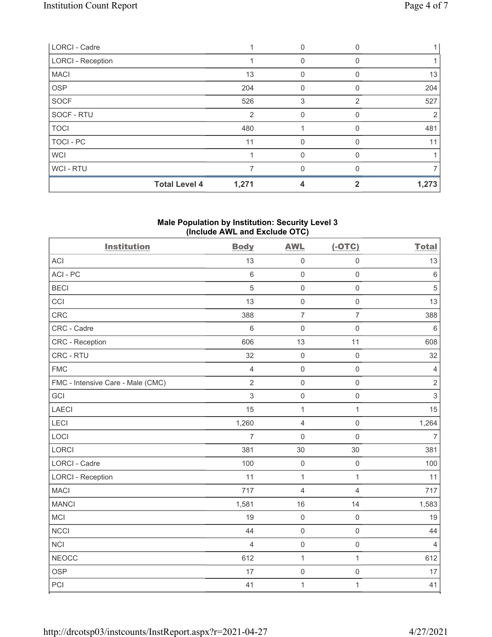| LORCI - Cadre            |                |          |   |       |
|--------------------------|----------------|----------|---|-------|
| <b>LORCI - Reception</b> |                | 0        |   |       |
| <b>MACI</b>              | 13             | 0        |   | 13    |
| <b>OSP</b>               | 204            |          |   | 204   |
| <b>SOCF</b>              | 526            | 3        | 2 | 527   |
| SOCF - RTU               | $\overline{2}$ | 0        |   | 2     |
| <b>TOCI</b>              | 480            |          |   | 481   |
| <b>TOCI - PC</b>         | 11             | $\Omega$ | 0 | 11    |
| <b>WCI</b>               |                | 0        |   |       |
| WCI - RTU                |                | 0        |   |       |
| <b>Total Level 4</b>     | 1,271          | 4        |   | 1,273 |

## Male Population by Institution: Security Level 3 (Include AWL and Exclude OTC)

| <b>Institution</b>                | <b>Body</b>    | <b>AWL</b>          | $(-OTC)$            | <b>Total</b>   |
|-----------------------------------|----------------|---------------------|---------------------|----------------|
| <b>ACI</b>                        | 13             | $\mathbf 0$         | $\mathsf 0$         | 13             |
| ACI-PC                            | $6\phantom{a}$ | $\mathbf 0$         | $\mathbf 0$         | $\,6\,$        |
| <b>BECI</b>                       | 5              | $\mathbf 0$         | $\mathsf{O}\xspace$ | $\sqrt{5}$     |
| CCI                               | 13             | $\mathbf 0$         | $\mathsf 0$         | 13             |
| <b>CRC</b>                        | 388            | $\overline{7}$      | $\overline{7}$      | 388            |
| CRC - Cadre                       | $6\,$          | $\mathbf 0$         | $\mathbf 0$         | $6\,$          |
| CRC - Reception                   | 606            | 13                  | 11                  | 608            |
| CRC - RTU                         | 32             | $\mathbf 0$         | $\mathsf{O}\xspace$ | 32             |
| <b>FMC</b>                        | $\overline{4}$ | $\mathbf 0$         | $\mathsf 0$         | $\overline{4}$ |
| FMC - Intensive Care - Male (CMC) | $\overline{2}$ | $\mathbf 0$         | $\mathsf{O}\xspace$ | $\sqrt{2}$     |
| GCI                               | 3              | $\mathsf{O}\xspace$ | $\mathsf 0$         | $\sqrt{3}$     |
| <b>LAECI</b>                      | 15             | 1                   | $\mathbf{1}$        | 15             |
| LECI                              | 1,260          | $\overline{4}$      | $\mathsf 0$         | 1,264          |
| LOCI                              | $\overline{7}$ | $\mathbf 0$         | $\mathsf{O}\xspace$ | $\overline{7}$ |
| LORCI                             | 381            | 30                  | 30                  | 381            |
| <b>LORCI - Cadre</b>              | 100            | $\mathsf{O}$        | $\mathsf{O}\xspace$ | 100            |
| <b>LORCI - Reception</b>          | 11             | $\overline{1}$      | $\mathbf 1$         | 11             |
| <b>MACI</b>                       | 717            | $\overline{4}$      | $\overline{4}$      | 717            |
| <b>MANCI</b>                      | 1,581          | 16                  | 14                  | 1,583          |
| <b>MCI</b>                        | 19             | $\mathsf{O}\xspace$ | $\mathsf 0$         | 19             |
| <b>NCCI</b>                       | 44             | $\mathbf 0$         | $\mathsf{O}\xspace$ | 44             |
| NCI                               | $\overline{4}$ | $\mathbf 0$         | $\mathsf{O}\xspace$ | $\overline{4}$ |
| <b>NEOCC</b>                      | 612            | $\mathbf{1}$        | $\mathbf{1}$        | 612            |
| <b>OSP</b>                        | 17             | $\mathsf{O}\xspace$ | $\mathsf{O}\xspace$ | 17             |
| PCI                               | 41             | $\mathbf{1}$        | $\mathbf 1$         | 41             |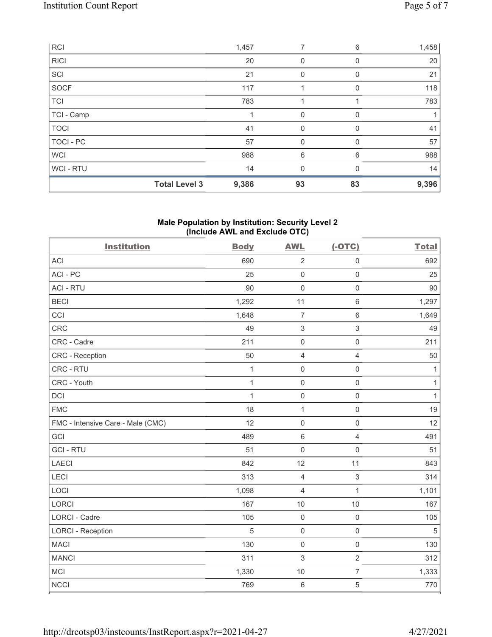|             | <b>Total Level 3</b> | 9,386 | 93          | 83       | 9,396 |
|-------------|----------------------|-------|-------------|----------|-------|
| WCI - RTU   |                      | 14    | 0           |          | 14    |
| <b>WCI</b>  |                      | 988   | 6           | 6        | 988   |
| TOCI - PC   |                      | 57    | 0           |          | 57    |
| <b>TOCI</b> |                      | 41    | 0           | $\Omega$ | 41    |
| TCI - Camp  |                      |       | $\mathbf 0$ | 0        |       |
| <b>TCI</b>  |                      | 783   |             |          | 783   |
| SOCF        |                      | 117   |             | $\Omega$ | 118   |
| SCI         |                      | 21    | 0           |          | 21    |
| <b>RICI</b> |                      | 20    | 0           | 0        | 20    |
| <b>RCI</b>  |                      | 1,457 | 7           | 6        | 1,458 |

### Male Population by Institution: Security Level 2 (Include AWL and Exclude OTC)

| <b>Institution</b>                | <b>Body</b>  | <b>AWL</b>                | $(-OTC)$            | <b>Total</b> |
|-----------------------------------|--------------|---------------------------|---------------------|--------------|
| <b>ACI</b>                        | 690          | $\overline{2}$            | $\mathsf 0$         | 692          |
| ACI-PC                            | 25           | $\mathbf 0$               | $\mathsf{O}\xspace$ | 25           |
| <b>ACI - RTU</b>                  | 90           | $\mathbf 0$               | $\mathsf 0$         | 90           |
| <b>BECI</b>                       | 1,292        | 11                        | $\,6\,$             | 1,297        |
| CCI                               | 1,648        | $\overline{7}$            | $\,6\,$             | 1,649        |
| CRC                               | 49           | $\ensuremath{\mathsf{3}}$ | $\,$ 3 $\,$         | 49           |
| CRC - Cadre                       | 211          | $\mathsf{O}$              | $\mathsf{O}\xspace$ | 211          |
| CRC - Reception                   | 50           | $\overline{4}$            | $\overline{4}$      | 50           |
| CRC - RTU                         | $\mathbf{1}$ | $\mathbf 0$               | $\mathsf{O}\xspace$ | $\mathbf{1}$ |
| CRC - Youth                       | $\mathbf{1}$ | $\mathbf 0$               | $\mathsf{O}\xspace$ | $\mathbf{1}$ |
| DCI                               | $\mathbf{1}$ | $\mathsf{O}\xspace$       | $\mathsf 0$         | $\mathbf{1}$ |
| <b>FMC</b>                        | 18           | $\mathbf{1}$              | $\mathsf 0$         | 19           |
| FMC - Intensive Care - Male (CMC) | 12           | $\mathsf{O}\xspace$       | $\mathsf 0$         | 12           |
| GCI                               | 489          | $\,6\,$                   | $\overline{4}$      | 491          |
| <b>GCI-RTU</b>                    | 51           | $\mathbf 0$               | $\mathsf 0$         | 51           |
| LAECI                             | 842          | 12                        | 11                  | 843          |
| LECI                              | 313          | $\overline{4}$            | $\mathfrak{S}$      | 314          |
| LOCI                              | 1,098        | $\overline{4}$            | $\mathbf{1}$        | 1,101        |
| <b>LORCI</b>                      | 167          | 10                        | 10                  | 167          |
| <b>LORCI - Cadre</b>              | 105          | $\mathsf{O}\xspace$       | $\mathbf 0$         | 105          |
| <b>LORCI - Reception</b>          | 5            | $\mathsf{O}$              | $\mathsf{O}\xspace$ | $\,$ 5 $\,$  |
| <b>MACI</b>                       | 130          | $\mathbf 0$               | $\mathsf 0$         | 130          |
| <b>MANCI</b>                      | 311          | $\sqrt{3}$                | $\overline{2}$      | 312          |
| <b>MCI</b>                        | 1,330        | 10                        | $\overline{7}$      | 1,333        |
| <b>NCCI</b>                       | 769          | $\,6\,$                   | $\mathbf 5$         | 770          |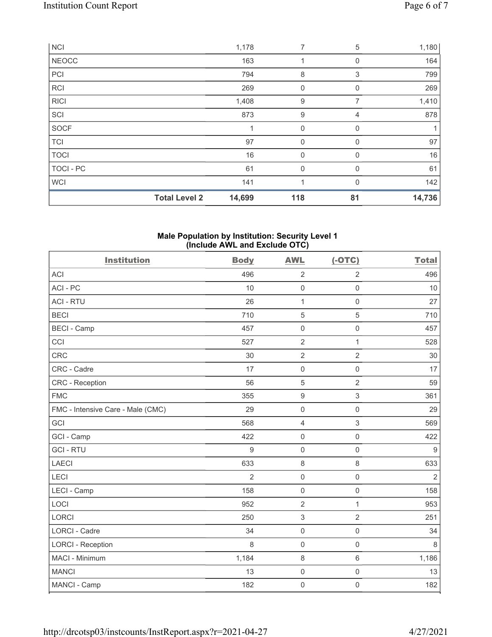|                  | <b>Total Level 2</b> | 14,699 | 118         | 81       | 14,736 |
|------------------|----------------------|--------|-------------|----------|--------|
| <b>WCI</b>       |                      | 141    | 1           | $\Omega$ | 142    |
| <b>TOCI - PC</b> |                      | 61     | $\mathbf 0$ | 0        | 61     |
| <b>TOCI</b>      |                      | 16     | $\mathbf 0$ | 0        | 16     |
| <b>TCI</b>       |                      | 97     | 0           | $\Omega$ | 97     |
| <b>SOCF</b>      |                      | 1      | $\mathbf 0$ | 0        |        |
| SCI              |                      | 873    | 9           | 4        | 878    |
| <b>RICI</b>      |                      | 1,408  | 9           | 7        | 1,410  |
| <b>RCI</b>       |                      | 269    | 0           | 0        | 269    |
| PCI              |                      | 794    | 8           | 3        | 799    |
| <b>NEOCC</b>     |                      | 163    | 1           | 0        | 164    |
| <b>NCI</b>       |                      | 1,178  | 7           | 5        | 1,180  |

#### Male Population by Institution: Security Level 1 (Include AWL and Exclude OTC)

| <b>Institution</b>                | <b>Body</b>    | <b>AWL</b>          | $(-OTC)$            | <b>Total</b>   |
|-----------------------------------|----------------|---------------------|---------------------|----------------|
| ACI                               | 496            | $\sqrt{2}$          | $\overline{2}$      | 496            |
| ACI-PC                            | 10             | $\mathsf{O}\xspace$ | $\mathsf 0$         | 10             |
| <b>ACI - RTU</b>                  | 26             | $\mathbf{1}$        | $\mathbf 0$         | 27             |
| <b>BECI</b>                       | 710            | $\sqrt{5}$          | $\sqrt{5}$          | 710            |
| <b>BECI - Camp</b>                | 457            | $\mathsf{O}\xspace$ | $\mathsf{O}\xspace$ | 457            |
| CCI                               | 527            | $\sqrt{2}$          | $\mathbf{1}$        | 528            |
| <b>CRC</b>                        | 30             | $\overline{2}$      | $\overline{2}$      | 30             |
| CRC - Cadre                       | 17             | $\mathsf{O}\xspace$ | $\mathsf 0$         | 17             |
| <b>CRC</b> - Reception            | 56             | 5                   | $\overline{2}$      | 59             |
| <b>FMC</b>                        | 355            | $\boldsymbol{9}$    | 3                   | 361            |
| FMC - Intensive Care - Male (CMC) | 29             | $\mathbf 0$         | $\mathsf{O}\xspace$ | 29             |
| GCI                               | 568            | $\overline{4}$      | 3                   | 569            |
| GCI - Camp                        | 422            | $\mathbf 0$         | $\mathsf{O}\xspace$ | 422            |
| <b>GCI-RTU</b>                    | 9              | $\mathbf 0$         | $\mathsf{O}\xspace$ | $9\,$          |
| <b>LAECI</b>                      | 633            | $\,8\,$             | 8                   | 633            |
| <b>LECI</b>                       | $\overline{2}$ | $\mathbf 0$         | $\mathsf{O}\xspace$ | $\overline{2}$ |
| LECI - Camp                       | 158            | $\mathbf 0$         | $\mathbf 0$         | 158            |
| LOCI                              | 952            | $\overline{2}$      | $\mathbf{1}$        | 953            |
| <b>LORCI</b>                      | 250            | $\sqrt{3}$          | $\overline{2}$      | 251            |
| <b>LORCI - Cadre</b>              | 34             | $\mathbf 0$         | $\mathsf{O}\xspace$ | 34             |
| <b>LORCI - Reception</b>          | 8              | $\mathbf 0$         | $\mathbf 0$         | 8              |
| MACI - Minimum                    | 1,184          | $\,8\,$             | $\,6\,$             | 1,186          |
| <b>MANCI</b>                      | 13             | $\mathsf{O}\xspace$ | $\mathsf{O}\xspace$ | 13             |
| MANCI - Camp                      | 182            | $\mathsf{O}\xspace$ | $\mathsf{O}\xspace$ | 182            |